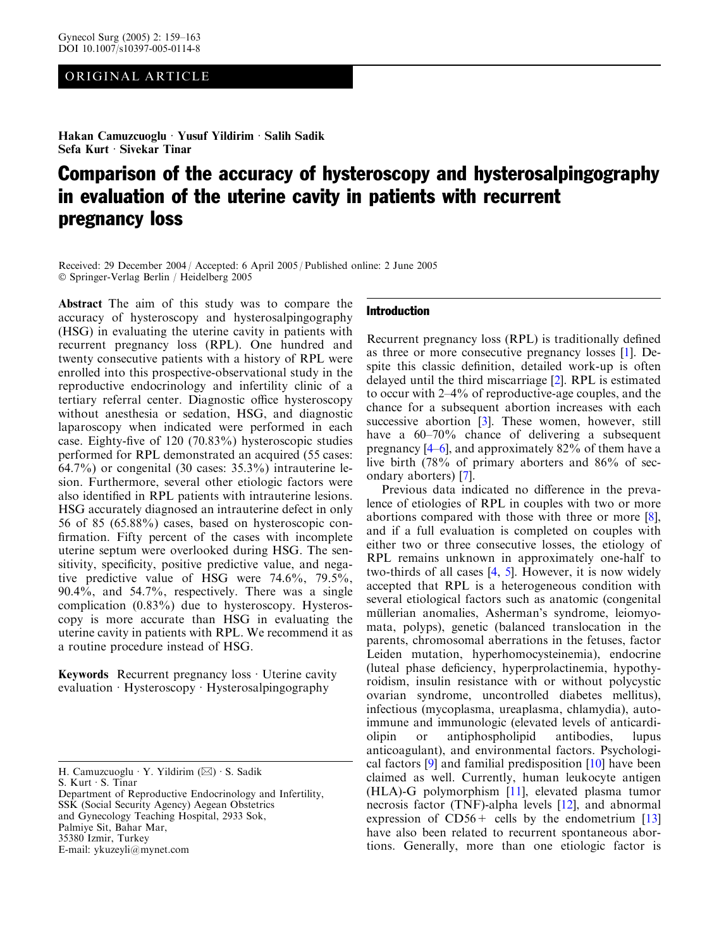# ORIGINAL ARTICLE

Hakan Camuzcuoglu · Yusuf Yildirim · Salih Sadik Sefa Kurt  $\cdot$  Sivekar Tinar

# Comparison of the accuracy of hysteroscopy and hysterosalpingography in evaluation of the uterine cavity in patients with recurrent pregnancy loss

Received: 29 December 2004 / Accepted: 6 April 2005 / Published online: 2 June 2005 Springer-Verlag Berlin / Heidelberg 2005

Abstract The aim of this study was to compare the accuracy of hysteroscopy and hysterosalpingography (HSG) in evaluating the uterine cavity in patients with recurrent pregnancy loss (RPL). One hundred and twenty consecutive patients with a history of RPL were enrolled into this prospective-observational study in the reproductive endocrinology and infertility clinic of a tertiary referral center. Diagnostic office hysteroscopy without anesthesia or sedation, HSG, and diagnostic laparoscopy when indicated were performed in each case. Eighty-five of 120 (70.83%) hysteroscopic studies performed for RPL demonstrated an acquired (55 cases: 64.7%) or congenital (30 cases:  $35.3\%$ ) intrauterine lesion. Furthermore, several other etiologic factors were also identified in RPL patients with intrauterine lesions. HSG accurately diagnosed an intrauterine defect in only 56 of 85 (65.88%) cases, based on hysteroscopic confirmation. Fifty percent of the cases with incomplete uterine septum were overlooked during HSG. The sensitivity, specificity, positive predictive value, and negative predictive value of HSG were 74.6%, 79.5%, 90.4%, and 54.7%, respectively. There was a single complication  $(0.83\%)$  due to hysteroscopy. Hysteroscopy is more accurate than HSG in evaluating the uterine cavity in patients with RPL. We recommend it as a routine procedure instead of HSG.

Keywords Recurrent pregnancy  $loss \cdot U$ terine cavity evaluation  $\cdot$  Hysteroscopy  $\cdot$  Hysterosalpingography

S. Kurt · S. Tinar

## Introduction

Recurrent pregnancy loss (RPL) is traditionally defined as three or more consecutive pregnancy losses [\[1](#page-3-0)]. Despite this classic definition, detailed work-up is often delayed until the third miscarriage [[2\]](#page-3-0). RPL is estimated to occur with 2–4% of reproductive-age couples, and the chance for a subsequent abortion increases with each successive abortion [[3\]](#page-3-0). These women, however, still have a  $60-70\%$  chance of delivering a subsequent pregnancy [\[4](#page-3-0)–[6\]](#page-3-0), and approximately 82% of them have a live birth (78% of primary aborters and 86% of secondary aborters) [[7\]](#page-3-0).

Previous data indicated no difference in the prevalence of etiologies of RPL in couples with two or more abortions compared with those with three or more [[8\]](#page-3-0), and if a full evaluation is completed on couples with either two or three consecutive losses, the etiology of RPL remains unknown in approximately one-half to two-thirds of all cases [\[4](#page-3-0), [5\]](#page-3-0). However, it is now widely accepted that RPL is a heterogeneous condition with several etiological factors such as anatomic (congenital müllerian anomalies, Asherman's syndrome, leiomyomata, polyps), genetic (balanced translocation in the parents, chromosomal aberrations in the fetuses, factor Leiden mutation, hyperhomocysteinemia), endocrine (luteal phase deficiency, hyperprolactinemia, hypothyroidism, insulin resistance with or without polycystic ovarian syndrome, uncontrolled diabetes mellitus), infectious (mycoplasma, ureaplasma, chlamydia), autoimmune and immunologic (elevated levels of anticardiolipin or antiphospholipid antibodies, lupus anticoagulant), and environmental factors. Psychological factors [\[9](#page-3-0)] and familial predisposition [[10\]](#page-3-0) have been claimed as well. Currently, human leukocyte antigen (HLA)-G polymorphism [[11\]](#page-3-0), elevated plasma tumor necrosis factor (TNF)-alpha levels [\[12](#page-3-0)], and abnormal expression of  $CD56+$  cells by the endometrium [\[13](#page-3-0)] have also been related to recurrent spontaneous abortions. Generally, more than one etiologic factor is

H. Camuzcuoglu · Y. Yildirim  $(\boxtimes)$  · S. Sadik

Department of Reproductive Endocrinology and Infertility, SSK (Social Security Agency) Aegean Obstetrics and Gynecology Teaching Hospital, 2933 Sok, Palmiye Sit, Bahar Mar, 35380 Izmir, Turkey E-mail: ykuzeyli@mynet.com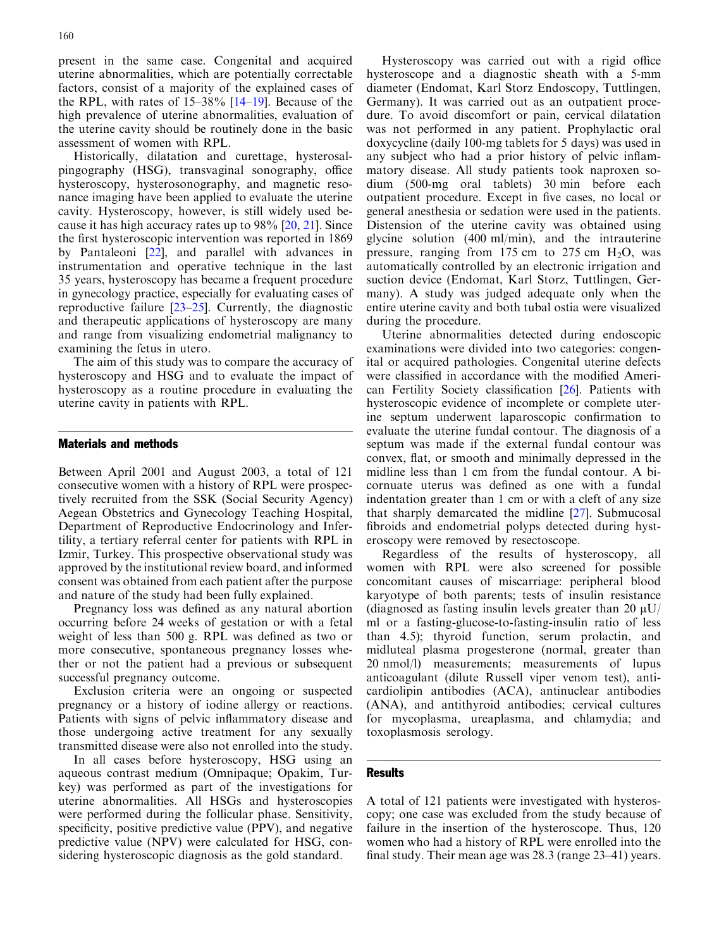present in the same case. Congenital and acquired uterine abnormalities, which are potentially correctable factors, consist of a majority of the explained cases of the RPL, with rates of 15–38% [\[14–19\]](#page-3-0). Because of the high prevalence of uterine abnormalities, evaluation of the uterine cavity should be routinely done in the basic assessment of women with RPL.

Historically, dilatation and curettage, hysterosalpingography (HSG), transvaginal sonography, office hysteroscopy, hysterosonography, and magnetic resonance imaging have been applied to evaluate the uterine cavity. Hysteroscopy, however, is still widely used because it has high accuracy rates up to 98% [[20,](#page-3-0) [21](#page-4-0)]. Since the first hysteroscopic intervention was reported in 1869 by Pantaleoni [\[22](#page-4-0)], and parallel with advances in instrumentation and operative technique in the last 35 years, hysteroscopy has became a frequent procedure in gynecology practice, especially for evaluating cases of reproductive failure [[23–25](#page-4-0)]. Currently, the diagnostic and therapeutic applications of hysteroscopy are many and range from visualizing endometrial malignancy to examining the fetus in utero.

The aim of this study was to compare the accuracy of hysteroscopy and HSG and to evaluate the impact of hysteroscopy as a routine procedure in evaluating the uterine cavity in patients with RPL.

### Materials and methods

Between April 2001 and August 2003, a total of 121 consecutive women with a history of RPL were prospectively recruited from the SSK (Social Security Agency) Aegean Obstetrics and Gynecology Teaching Hospital, Department of Reproductive Endocrinology and Infertility, a tertiary referral center for patients with RPL in Izmir, Turkey. This prospective observational study was approved by the institutional review board, and informed consent was obtained from each patient after the purpose and nature of the study had been fully explained.

Pregnancy loss was defined as any natural abortion occurring before 24 weeks of gestation or with a fetal weight of less than 500 g. RPL was defined as two or more consecutive, spontaneous pregnancy losses whether or not the patient had a previous or subsequent successful pregnancy outcome.

Exclusion criteria were an ongoing or suspected pregnancy or a history of iodine allergy or reactions. Patients with signs of pelvic inflammatory disease and those undergoing active treatment for any sexually transmitted disease were also not enrolled into the study.

In all cases before hysteroscopy, HSG using an aqueous contrast medium (Omnipaque; Opakim, Turkey) was performed as part of the investigations for uterine abnormalities. All HSGs and hysteroscopies were performed during the follicular phase. Sensitivity, specificity, positive predictive value (PPV), and negative predictive value (NPV) were calculated for HSG, considering hysteroscopic diagnosis as the gold standard.

Hysteroscopy was carried out with a rigid office hysteroscope and a diagnostic sheath with a 5-mm diameter (Endomat, Karl Storz Endoscopy, Tuttlingen, Germany). It was carried out as an outpatient procedure. To avoid discomfort or pain, cervical dilatation was not performed in any patient. Prophylactic oral doxycycline (daily 100-mg tablets for 5 days) was used in any subject who had a prior history of pelvic inflammatory disease. All study patients took naproxen sodium (500-mg oral tablets) 30 min before each outpatient procedure. Except in five cases, no local or general anesthesia or sedation were used in the patients. Distension of the uterine cavity was obtained using glycine solution (400 ml/min), and the intrauterine pressure, ranging from 175 cm to 275 cm  $H_2O$ , was automatically controlled by an electronic irrigation and suction device (Endomat, Karl Storz, Tuttlingen, Germany). A study was judged adequate only when the entire uterine cavity and both tubal ostia were visualized during the procedure.

Uterine abnormalities detected during endoscopic examinations were divided into two categories: congenital or acquired pathologies. Congenital uterine defects were classified in accordance with the modified American Fertility Society classification [\[26](#page-4-0)]. Patients with hysteroscopic evidence of incomplete or complete uterine septum underwent laparoscopic confirmation to evaluate the uterine fundal contour. The diagnosis of a septum was made if the external fundal contour was convex, flat, or smooth and minimally depressed in the midline less than 1 cm from the fundal contour. A bicornuate uterus was defined as one with a fundal indentation greater than 1 cm or with a cleft of any size that sharply demarcated the midline [\[27](#page-4-0)]. Submucosal fibroids and endometrial polyps detected during hysteroscopy were removed by resectoscope.

Regardless of the results of hysteroscopy, all women with RPL were also screened for possible concomitant causes of miscarriage: peripheral blood karyotype of both parents; tests of insulin resistance (diagnosed as fasting insulin levels greater than 20  $\mu$ U/ ml or a fasting-glucose-to-fasting-insulin ratio of less than 4.5); thyroid function, serum prolactin, and midluteal plasma progesterone (normal, greater than 20 nmol/l) measurements; measurements of lupus anticoagulant (dilute Russell viper venom test), anticardiolipin antibodies (ACA), antinuclear antibodies (ANA), and antithyroid antibodies; cervical cultures for mycoplasma, ureaplasma, and chlamydia; and toxoplasmosis serology.

#### Results

A total of 121 patients were investigated with hysteroscopy; one case was excluded from the study because of failure in the insertion of the hysteroscope. Thus, 120 women who had a history of RPL were enrolled into the final study. Their mean age was 28.3 (range 23–41) years.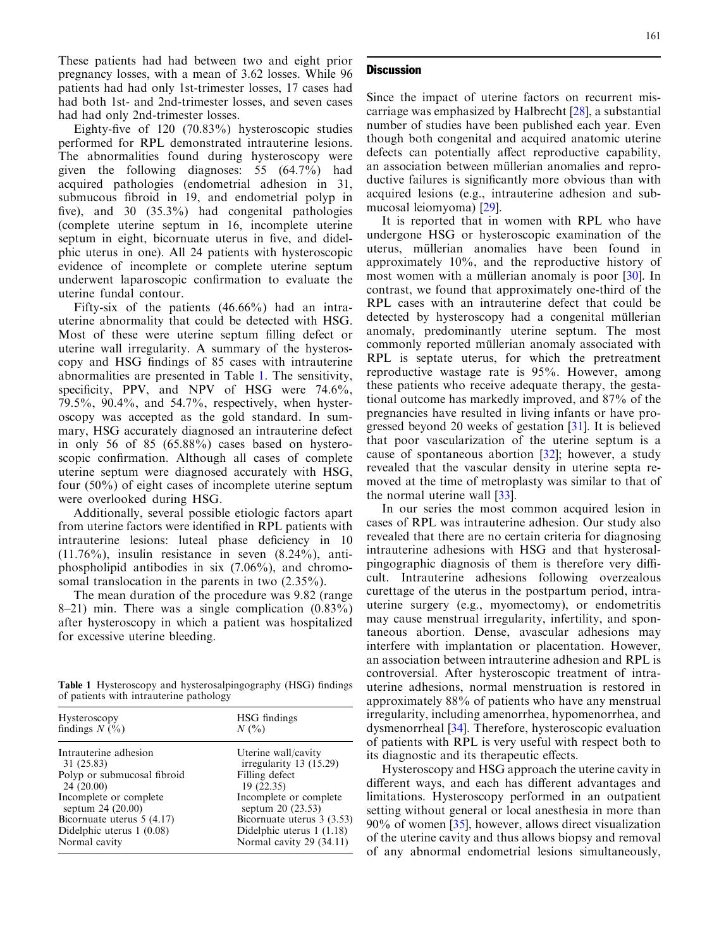These patients had had between two and eight prior pregnancy losses, with a mean of 3.62 losses. While 96 patients had had only 1st-trimester losses, 17 cases had had both 1st- and 2nd-trimester losses, and seven cases had had only 2nd-trimester losses.

Eighty-five of 120 (70.83%) hysteroscopic studies performed for RPL demonstrated intrauterine lesions. The abnormalities found during hysteroscopy were given the following diagnoses: 55 (64.7%) had acquired pathologies (endometrial adhesion in 31, submucous fibroid in 19, and endometrial polyp in five), and 30 (35.3%) had congenital pathologies (complete uterine septum in 16, incomplete uterine septum in eight, bicornuate uterus in five, and didelphic uterus in one). All 24 patients with hysteroscopic evidence of incomplete or complete uterine septum underwent laparoscopic confirmation to evaluate the uterine fundal contour.

Fifty-six of the patients (46.66%) had an intrauterine abnormality that could be detected with HSG. Most of these were uterine septum filling defect or uterine wall irregularity. A summary of the hysteroscopy and HSG findings of 85 cases with intrauterine abnormalities are presented in Table 1. The sensitivity, specificity, PPV, and NPV of HSG were 74.6%, 79.5%, 90.4%, and 54.7%, respectively, when hysteroscopy was accepted as the gold standard. In summary, HSG accurately diagnosed an intrauterine defect in only 56 of 85 (65.88%) cases based on hysteroscopic confirmation. Although all cases of complete uterine septum were diagnosed accurately with HSG, four (50%) of eight cases of incomplete uterine septum were overlooked during HSG.

Additionally, several possible etiologic factors apart from uterine factors were identified in RPL patients with intrauterine lesions: luteal phase deficiency in 10  $(11.76\%)$ , insulin resistance in seven  $(8.24\%)$ , antiphospholipid antibodies in six (7.06%), and chromosomal translocation in the parents in two (2.35%).

The mean duration of the procedure was 9.82 (range 8–21) min. There was a single complication  $(0.83\%)$ after hysteroscopy in which a patient was hospitalized for excessive uterine bleeding.

Table 1 Hysteroscopy and hysterosalpingography (HSG) findings of patients with intrauterine pathology

| Hysteroscopy                | HSG findings               |
|-----------------------------|----------------------------|
| findings $N$ (%)            | $N($ %)                    |
| Intrauterine adhesion       | Uterine wall/cavity        |
| 31 (25.83)                  | irregularity $13$ (15.29)  |
| Polyp or submucosal fibroid | Filling defect             |
| 24(20.00)                   | 19(22.35)                  |
| Incomplete or complete      | Incomplete or complete     |
| septum 24 (20.00)           | septum 20 (23.53)          |
| Bicornuate uterus $5(4.17)$ | Bicornuate uterus 3 (3.53) |
| Didelphic uterus $1(0.08)$  | Didelphic uterus $1(1.18)$ |
| Normal cavity               | Normal cavity 29 (34.11)   |

### **Discussion**

Since the impact of uterine factors on recurrent miscarriage was emphasized by Halbrecht [\[28](#page-4-0)], a substantial number of studies have been published each year. Even though both congenital and acquired anatomic uterine defects can potentially affect reproductive capability, an association between müllerian anomalies and reproductive failures is significantly more obvious than with acquired lesions (e.g., intrauterine adhesion and submucosal leiomyoma) [[29](#page-4-0)].

It is reported that in women with RPL who have undergone HSG or hysteroscopic examination of the uterus, müllerian anomalies have been found in approximately 10%, and the reproductive history of most women with a müllerian anomaly is poor  $[30]$  $[30]$ . In contrast, we found that approximately one-third of the RPL cases with an intrauterine defect that could be detected by hysteroscopy had a congenital müllerian anomaly, predominantly uterine septum. The most commonly reported müllerian anomaly associated with RPL is septate uterus, for which the pretreatment reproductive wastage rate is 95%. However, among these patients who receive adequate therapy, the gestational outcome has markedly improved, and 87% of the pregnancies have resulted in living infants or have progressed beyond 20 weeks of gestation [[31\]](#page-4-0). It is believed that poor vascularization of the uterine septum is a cause of spontaneous abortion  $[32]$ ; however, a study revealed that the vascular density in uterine septa removed at the time of metroplasty was similar to that of the normal uterine wall [\[33](#page-4-0)].

In our series the most common acquired lesion in cases of RPL was intrauterine adhesion. Our study also revealed that there are no certain criteria for diagnosing intrauterine adhesions with HSG and that hysterosalpingographic diagnosis of them is therefore very difficult. Intrauterine adhesions following overzealous curettage of the uterus in the postpartum period, intrauterine surgery (e.g., myomectomy), or endometritis may cause menstrual irregularity, infertility, and spontaneous abortion. Dense, avascular adhesions may interfere with implantation or placentation. However, an association between intrauterine adhesion and RPL is controversial. After hysteroscopic treatment of intrauterine adhesions, normal menstruation is restored in approximately 88% of patients who have any menstrual irregularity, including amenorrhea, hypomenorrhea, and dysmenorrheal [\[34](#page-4-0)]. Therefore, hysteroscopic evaluation of patients with RPL is very useful with respect both to its diagnostic and its therapeutic effects.

Hysteroscopy and HSG approach the uterine cavity in different ways, and each has different advantages and limitations. Hysteroscopy performed in an outpatient setting without general or local anesthesia in more than 90% of women [[35\]](#page-4-0), however, allows direct visualization of the uterine cavity and thus allows biopsy and removal of any abnormal endometrial lesions simultaneously,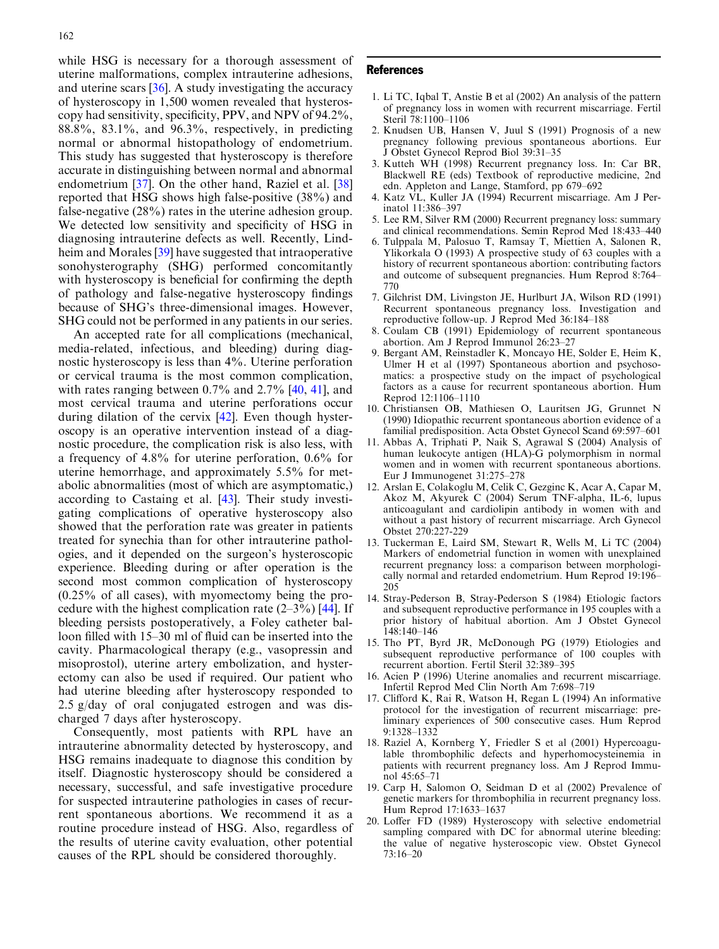<span id="page-3-0"></span>while HSG is necessary for a thorough assessment of uterine malformations, complex intrauterine adhesions, and uterine scars [\[36](#page-4-0)]. A study investigating the accuracy of hysteroscopy in 1,500 women revealed that hysteroscopy had sensitivity, specificity, PPV, and NPV of 94.2%, 88.8%, 83.1%, and 96.3%, respectively, in predicting normal or abnormal histopathology of endometrium. This study has suggested that hysteroscopy is therefore accurate in distinguishing between normal and abnormal endometrium [\[37\]](#page-4-0). On the other hand, Raziel et al. [\[38](#page-4-0)] reported that HSG shows high false-positive (38%) and false-negative (28%) rates in the uterine adhesion group. We detected low sensitivity and specificity of HSG in diagnosing intrauterine defects as well. Recently, Lindheim and Morales [[39\]](#page-4-0) have suggested that intraoperative sonohysterography (SHG) performed concomitantly with hysteroscopy is beneficial for confirming the depth of pathology and false-negative hysteroscopy findings because of SHG's three-dimensional images. However, SHG could not be performed in any patients in our series.

An accepted rate for all complications (mechanical, media-related, infectious, and bleeding) during diagnostic hysteroscopy is less than 4%. Uterine perforation or cervical trauma is the most common complication, with rates ranging between 0.7% and 2.7% [\[40,](#page-4-0) [41](#page-4-0)], and most cervical trauma and uterine perforations occur during dilation of the cervix [[42\]](#page-4-0). Even though hysteroscopy is an operative intervention instead of a diagnostic procedure, the complication risk is also less, with a frequency of 4.8% for uterine perforation, 0.6% for uterine hemorrhage, and approximately 5.5% for metabolic abnormalities (most of which are asymptomatic,) according to Castaing et al. [\[43](#page-4-0)]. Their study investigating complications of operative hysteroscopy also showed that the perforation rate was greater in patients treated for synechia than for other intrauterine pathologies, and it depended on the surgeon's hysteroscopic experience. Bleeding during or after operation is the second most common complication of hysteroscopy (0.25% of all cases), with myomectomy being the procedure with the highest complication rate  $(2-3\%)$  [\[44\]](#page-4-0). If bleeding persists postoperatively, a Foley catheter balloon filled with 15–30 ml of fluid can be inserted into the cavity. Pharmacological therapy (e.g., vasopressin and misoprostol), uterine artery embolization, and hysterectomy can also be used if required. Our patient who had uterine bleeding after hysteroscopy responded to 2.5 g/day of oral conjugated estrogen and was discharged 7 days after hysteroscopy.

Consequently, most patients with RPL have an intrauterine abnormality detected by hysteroscopy, and HSG remains inadequate to diagnose this condition by itself. Diagnostic hysteroscopy should be considered a necessary, successful, and safe investigative procedure for suspected intrauterine pathologies in cases of recurrent spontaneous abortions. We recommend it as a routine procedure instead of HSG. Also, regardless of the results of uterine cavity evaluation, other potential causes of the RPL should be considered thoroughly.

#### References

- 1. Li TC, Iqbal T, Anstie B et al (2002) An analysis of the pattern of pregnancy loss in women with recurrent miscarriage. Fertil Steril 78:1100–1106
- 2. Knudsen UB, Hansen V, Juul S (1991) Prognosis of a new pregnancy following previous spontaneous abortions. Eur J Obstet Gynecol Reprod Biol 39:31–35
- 3. Kutteh WH (1998) Recurrent pregnancy loss. In: Car BR, Blackwell RE (eds) Textbook of reproductive medicine, 2nd edn. Appleton and Lange, Stamford, pp 679–692
- 4. Katz VL, Kuller JA (1994) Recurrent miscarriage. Am J Perinatol 11:386–397
- 5. Lee RM, Silver RM (2000) Recurrent pregnancy loss: summary and clinical recommendations. Semin Reprod Med 18:433–440
- 6. Tulppala M, Palosuo T, Ramsay T, Miettien A, Salonen R, Ylikorkala O (1993) A prospective study of 63 couples with a history of recurrent spontaneous abortion: contributing factors and outcome of subsequent pregnancies. Hum Reprod 8:764– 770
- 7. Gilchrist DM, Livingston JE, Hurlburt JA, Wilson RD (1991) Recurrent spontaneous pregnancy loss. Investigation and reproductive follow-up. J Reprod Med 36:184–188
- 8. Coulam CB (1991) Epidemiology of recurrent spontaneous abortion. Am J Reprod Immunol 26:23–27
- 9. Bergant AM, Reinstadler K, Moncayo HE, Solder E, Heim K, Ulmer H et al (1997) Spontaneous abortion and psychosomatics: a prospective study on the impact of psychological factors as a cause for recurrent spontaneous abortion. Hum Reprod 12:1106–1110
- 10. Christiansen OB, Mathiesen O, Lauritsen JG, Grunnet N (1990) Idiopathic recurrent spontaneous abortion evidence of a familial predisposition. Acta Obstet Gynecol Scand 69:597–601
- 11. Abbas A, Triphati P, Naik S, Agrawal S (2004) Analysis of human leukocyte antigen (HLA)-G polymorphism in normal women and in women with recurrent spontaneous abortions. Eur J Immunogenet 31:275–278
- 12. Arslan E, Colakoglu M, Celik C, Gezginc K, Acar A, Capar M, Akoz M, Akyurek C (2004) Serum TNF-alpha, IL-6, lupus anticoagulant and cardiolipin antibody in women with and without a past history of recurrent miscarriage. Arch Gynecol Obstet 270:227-229
- 13. Tuckerman E, Laird SM, Stewart R, Wells M, Li TC (2004) Markers of endometrial function in women with unexplained recurrent pregnancy loss: a comparison between morphologically normal and retarded endometrium. Hum Reprod 19:196– 205
- 14. Stray-Pederson B, Stray-Pederson S (1984) Etiologic factors and subsequent reproductive performance in 195 couples with a prior history of habitual abortion. Am J Obstet Gynecol 148:140–146
- 15. Tho PT, Byrd JR, McDonough PG (1979) Etiologies and subsequent reproductive performance of 100 couples with recurrent abortion. Fertil Steril 32:389–395
- 16. Acien P (1996) Uterine anomalies and recurrent miscarriage. Infertil Reprod Med Clin North Am 7:698–719
- 17. Clifford K, Rai R, Watson H, Regan L (1994) An informative protocol for the investigation of recurrent miscarriage: preliminary experiences of 500 consecutive cases. Hum Reprod 9:1328–1332
- 18. Raziel A, Kornberg Y, Friedler S et al (2001) Hypercoagulable thrombophilic defects and hyperhomocysteinemia in patients with recurrent pregnancy loss. Am J Reprod Immunol 45:65–71
- 19. Carp H, Salomon O, Seidman D et al (2002) Prevalence of genetic markers for thrombophilia in recurrent pregnancy loss. Hum Reprod 17:1633–1637
- 20. Loffer FD (1989) Hysteroscopy with selective endometrial sampling compared with DC for abnormal uterine bleeding: the value of negative hysteroscopic view. Obstet Gynecol 73:16–20